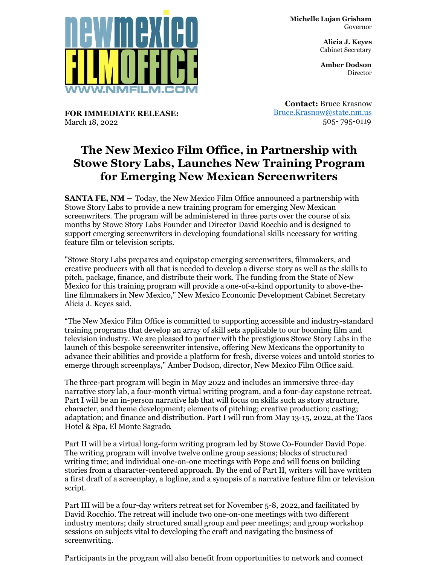

**Michelle Lujan Grisham** Governor

> **Alicia J. Keyes** Cabinet Secretary

> **Amber Dodson Director**

**FOR IMMEDIATE RELEASE:** March 18, 2022

**Contact:** Bruce Krasnow [Bruce.Krasnow@state.nm.us](mailto:Bruce.Krasnow@state.nm.us) 505- 795-0119

## **The New Mexico Film Office, in Partnership with Stowe Story Labs, Launches New Training Program for Emerging New Mexican Screenwriters**

**SANTA FE, NM –** Today, the New Mexico Film Office announced a partnership with Stowe Story Labs to provide a new training program for emerging New Mexican screenwriters. The program will be administered in three parts over the course of six months by Stowe Story Labs Founder and Director David Rocchio and is designed to support emerging screenwriters in developing foundational skills necessary for writing feature film or television scripts.

"Stowe Story Labs prepares and equips top emerging screenwriters, filmmakers, and creative producers with all that is needed to develop a diverse story as well as the skills to pitch, package, finance, and distribute their work. The funding from the State of New Mexico for this training program will provide a one-of-a-kind opportunity to above-theline filmmakers in New Mexico," New Mexico Economic Development Cabinet Secretary Alicia J. Keyes said.

"The New Mexico Film Office is committed to supporting accessible and industry-standard training programs that develop an array of skill sets applicable to our booming film and television industry. We are pleased to partner with the prestigious Stowe Story Labs in the launch of this bespoke screenwriter intensive, offering New Mexicans the opportunity to advance their abilities and provide a platform for fresh, diverse voices and untold stories to emerge through screenplays," Amber Dodson, director, New Mexico Film Office said.

The three-part program will begin in May 2022 and includes an immersive three-day narrative story lab, a four-month virtual writing program, and a four-day capstone retreat. Part I will be an in-person narrative lab that will focus on skills such as story structure, character, and theme development; elements of pitching; creative production; casting; adaptation; and finance and distribution. Part I will run from May 13-15, 2022, at the Taos Hotel & Spa, El Monte Sagrado.

Part II will be a virtual long-form writing program led by Stowe Co-Founder David Pope. The writing program will involve twelve online group sessions; blocks of structured writing time; and individual one-on-one meetings with Pope and will focus on building stories from a character-centered approach. By the end of Part II, writers will have written a first draft of a screenplay, a logline, and a synopsis of a narrative feature film or television script.

Part III will be a four-day writers retreat set for November 5-8, 2022,and facilitated by David Rocchio. The retreat will include two one-on-one meetings with two different industry mentors; daily structured small group and peer meetings; and group workshop sessions on subjects vital to developing the craft and navigating the business of screenwriting.

Participants in the program will also benefit from opportunities to network and connect